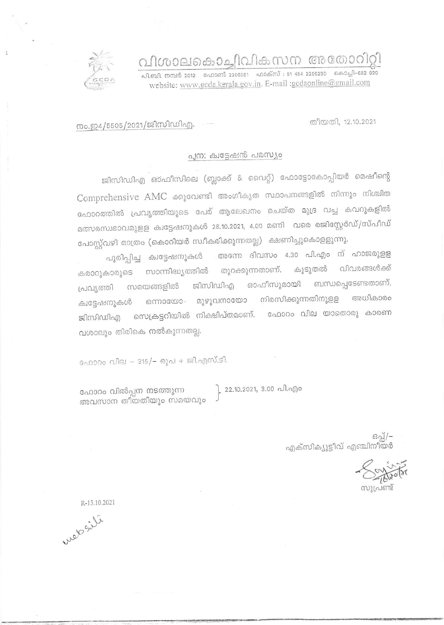വിശാലകൊച്ചിവികസന അതോറിറ്റി

ബി. നമ്പർ 2012 – ഫോണ്ട് 2205061 – ഫാക്സ് : 91 484 2206230 – കൊച്ചി–682 020 website: www.gcda.kerala.gov.in. E-mail :gcdaonline@gmail.com

തീയതി. 12.10.2021

നം.ഇ4/5505/2021/ജിസിഡിഎ.

## പുന: ക്വട്ടേഷൻ പരസ്യം

ജിസിഡിഎ ഓഫീസിലെ (ബ്ലാക്ക് & വൈറ്റ്) ഫോട്ടോകോപ്പിയർ മെഷീന്റെ Comprehensive AMC ക്കുവേണ്ടി അംഗീകൃത സ്ഥാപനങ്ങളിൽ നിന്നും നിശ്ചിത ഫോറത്തിൽ പ്രവൃത്തിയുടെ പേര് ആലേഖനം ചെയ്ത മുദ്ര വച്ച കവറുകളിൽ മത്സരസ്വഭാവമുളള ക്വട്ടേഷനുകൾ 28.10.2021, 4.00 മണി വരെ രജിസ്റ്റേർഡ്/സ്പീഡ് പോസ്റ്റ്വഴി മാത്രം (കൊറിയർ സ്ഥീകരിക്കുന്നതല്ല) ക്ഷണിച്ചുകൊളളുന്നു.

അന്നേ ദിവസം 4.30 പി.എം ന് ഹാജരുളള പൂരിപ്പിച്ച ക്വട്ടേഷനുകൾ സാന്നിദ്ധ്യത്തിൽ തുറക്കുന്നതാണ്. കൂടുതൽ വിവരങ്ങൾക്ക് കരാറൂകാരുടെ ബന്ധപ്പെടേണ്ടതാണ്. ജിസിഡിഎ ഓഫീസുമായി പ്രവൃത്തി സമയങ്ങളിൽ അധികാരം നിരസിക്കുന്നതിനുളള ഒന്നായോ മുഴുവനായോ ക്വട്ടേഷനുകൾ ജിസിഡിഎ സെക്രട്ടറിയിൽ നിക്ഷിപ്തമാണ്. ഫോറം വില യാതൊരു കാരണ വശാലും തിരികെ നൽകുന്നതല്ല.

ഫോറം വില – 315/– രൂപ + ജി.എസ്.ടി.

ഫോറം വിൽപ്പന നടത്തുന്ന അവസാന തീയതിയും സമയവും 22.10.2021, 3.00 പി.എം

–/[ഹോ<br>എക്സിക്യൂട്ടീവ് എഞ്ചിനീയർ

R-13.10.2021

website